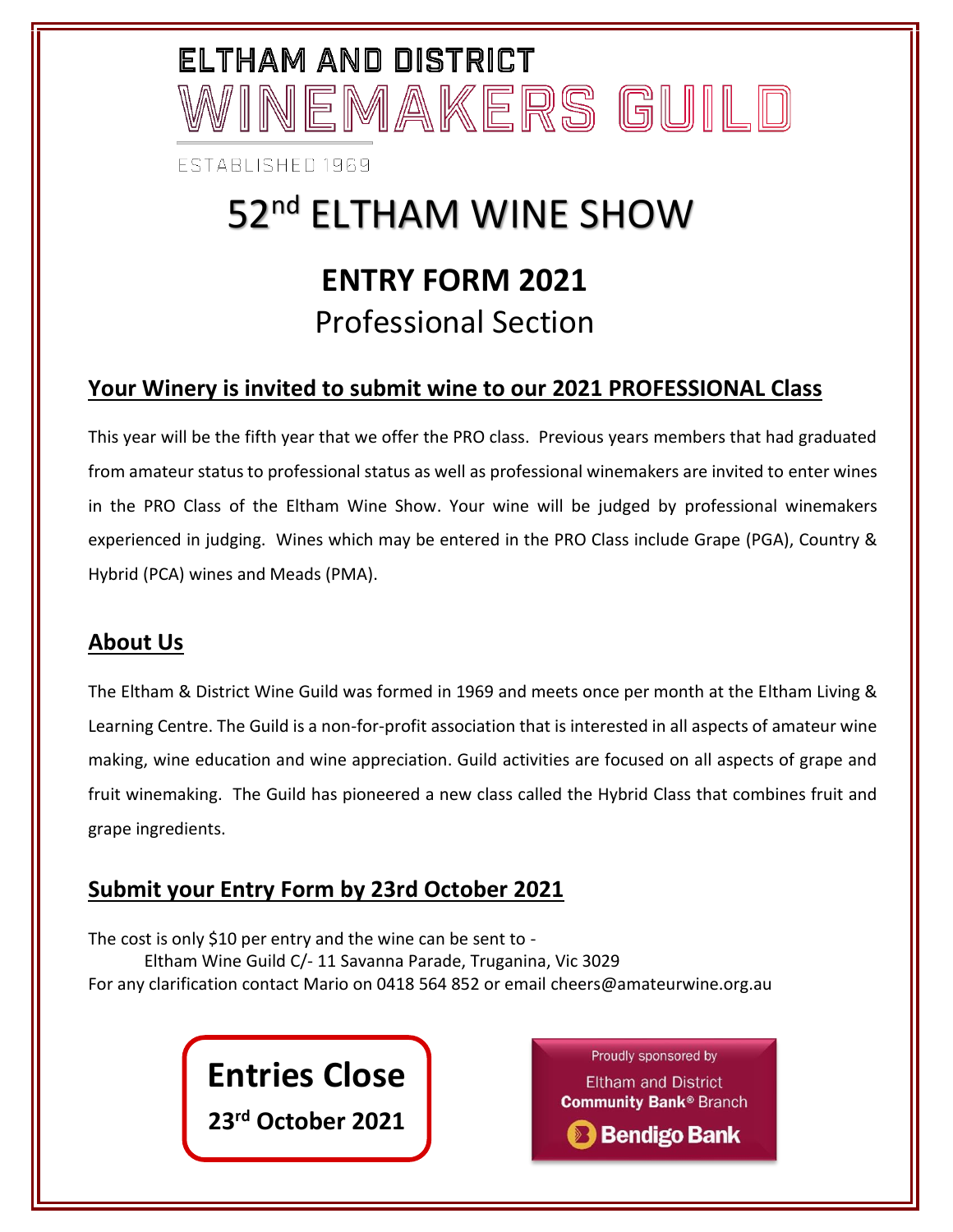# ELTHAM AND DISTRICT INEMAKERS GUILD

**FSTABLISHED 1969** 

### 52<sup>nd</sup> ELTHAM WINE SHOW **ENTRY FORM 2021** Professional Section

#### **Your Winery is invited to submit wine to our 2021 PROFESSIONAL Class**

This year will be the fifth year that we offer the PRO class. Previous years members that had graduated from amateur status to professional status as well as professional winemakers are invited to enter wines in the PRO Class of the Eltham Wine Show. Your wine will be judged by professional winemakers experienced in judging. Wines which may be entered in the PRO Class include Grape (PGA), Country & Hybrid (PCA) wines and Meads (PMA).

#### **About Us**

The Eltham & District Wine Guild was formed in 1969 and meets once per month at the Eltham Living & Learning Centre. The Guild is a non-for-profit association that is interested in all aspects of amateur wine making, wine education and wine appreciation. Guild activities are focused on all aspects of grape and fruit winemaking. The Guild has pioneered a new class called the Hybrid Class that combines fruit and grape ingredients.

#### **Submit your Entry Form by 23rd October 2021**

The cost is only \$10 per entry and the wine can be sent to - Eltham Wine Guild C/- 11 Savanna Parade, Truganina, Vic 3029 For any clarification contact Mario on 0418 564 852 or email cheers@amateurwine.org.au

### **Entries Close**

**23 rd October 2021**

Proudly sponsored by **Eltham and District Community Bank® Branch** 

**B** Bendigo Bank